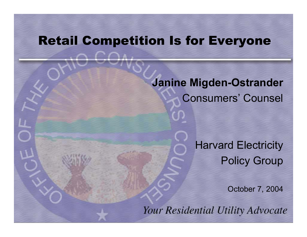#### Retail Competition Is for Everyone

**Janine Migden-Ostrander** Consumers' Counsel

> Harvard Electricity Policy Group

> > October 7, 2004

Your Residential Utility Advocate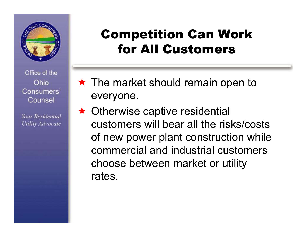

Your Residential **Utility Advocate** 

### Competition Can Work for All Customers

- $\star$  The market should remain open to everyone.
- $\star$  Otherwise captive residential customers will bear all the risks/costs of new power plant construction while commercial and industrial customers choose between market or utility rates.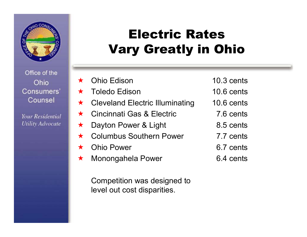

**Your Residential Utility Advocate** 

### Electric Rates Vary Greatly in Ohio

 $\bigstar$  Ohio Edison  $\bigstar$  Toledo Edison  $\bigstar$  Cleveland Electric Illuminating  $\bigstar$  Cincinnati Gas & Electric  $\bigstar$  Dayton Power & Light  $\bigstar$  Columbus Southern Power  $\bigstar$  Ohio Power  $\bigstar$ Monongahela Power

Competition was designed to lev el out cost disparities.

- 10.3 cents
- 10.6 cents
- 10.6 cents
	- 7.6 cents
	- 8.5 cents
	- 7.7 cents
	- 6.7 cents
	- 6.4 cents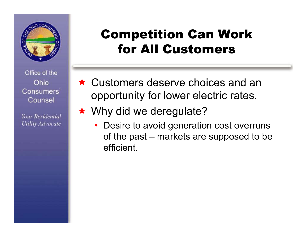

Your Residential **Utility Advocate** 

### Competition Can Work for All Customers

- $\star$  Customers deserve choices and an opportunity for lower electric rates.
- ★ Why did we deregulate?
	- Desire to avoid generation cost overruns of the past – markets are supposed to be efficient.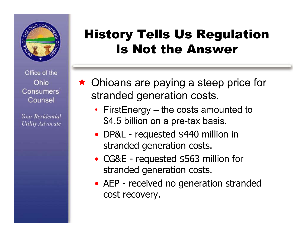

**Your Residential Utility Advocate** 

#### History Tells Us Regulation Is Not the Answer

- ★ Ohioans are paying a steep price for stranded generation costs.
	- FirstEnergy the costs amounted to \$4.5 billion on a pre-tax basis.
	- DP&L requested \$440 million in stranded generation costs.
	- CG&E requested \$563 million for stranded generation costs.
	- AEP received no generation stranded cost recovery.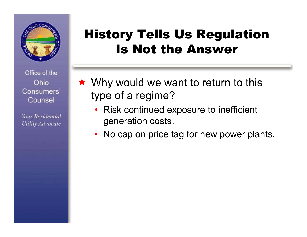

**Your Residential Utility Advocate** 

#### History Tells Us Regulation Is Not the Answer

- $\star$  Why would we want to return to this type of a regime?
	- Risk continued exposure to inefficient generation costs.
	- No cap on price tag for new power plants.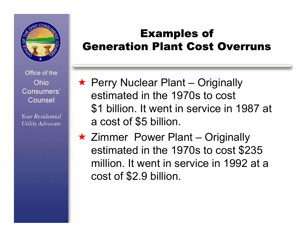

Your Residential **Utility Advocate** 

#### Examples of Generation Plant Cost Overruns

- ★ Perry Nuclear Plant Originally estimated in the 1970s to cost \$1 billion. It went in service in 1987 at a cost of \$5 billion.
- ★ Zimmer Power Plant Originally estimated in the 1970s to cost \$235 million. It went in service in 1992 at a cost of \$2.9 billion.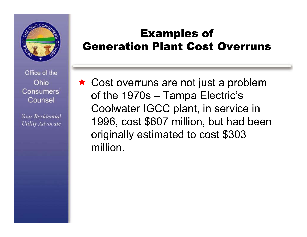

**Your Residential Utility Advocate** 

#### Examples of Generation Plant Cost Overruns

★ Cost overruns are not just a problem of the 1970s – Tampa Electric's Coolwater IGCC plant, in service in 1996, cost \$607 million, but had been originally estimated to cost \$303 million.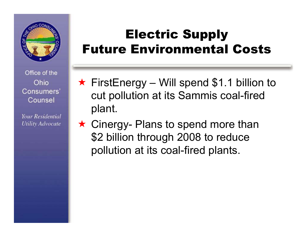

Your Residential **Utility Advocate** 

### Electric Supply Future Environmental Costs

- $\star$  FirstEnergy Will spend \$1.1 billion to cut pollution at its Sammis coal-fired plant.
- ★ Cinergy- Plans to spend more than \$2 billion through 2008 to reduce pollution at its coal-fired plants.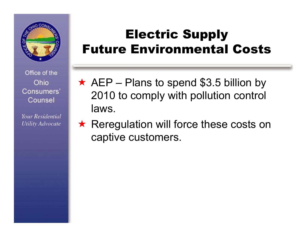

Your Residential **Utility Advocate** 

### Electric Supply Future Environmental Costs

- $\star$  AEP Plans to spend \$3.5 billion by 2010 to comply with pollution control laws.
- ★ Reregulation will force these costs on captive customers.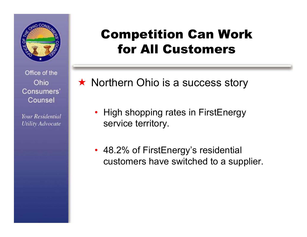

Your Residential **Utility Advocate** 

#### Competition Can Work for All Customers

★ Northern Ohio is a success story

- High shopping rates in FirstEnergy service territory.
- 48.2% of FirstEnergy's residential customers have switched to a supplier.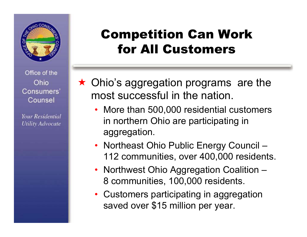

Your Residential **Utility Advocate** 

### Competition Can Work for All Customers

- $\star$  Ohio's aggregation programs are the most successful in the nation.
	- More than 500,000 residential customers in northern Ohio are participating in aggregation.
	- Northeast Ohio Public Energy Council 112 communities, over 400,000 residents.
	- Northwest Ohio Aggregation Coalition 8 communities, 100,000 residents.
	- Customers participating in aggregation saved over \$15 million per year.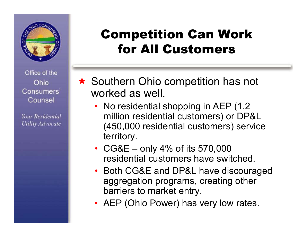

Your Residential **Utility Advocate** 

### Competition Can Work for All Customers

★ Southern Ohio competition has not worked as well.

- No residential shopping in AEP (1.2) million residential customers) or DP&L (450,000 residential customers) service territory.
- CG&E only 4% of its 570,000 residential customers have switched.
- Both CG&E and DP&L have discouraged aggregation programs, creating other barriers to market entry.
- AEP (Ohio Power) has very low rates.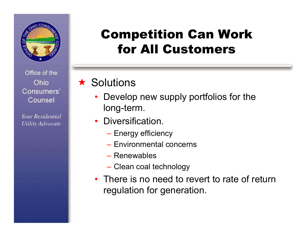

Your Residential **Utility Advocate** 

### Competition Can Work for All Customers

#### $\star$  Solutions

- Develop new supply portfolios for the long-term.
- Diversification.
	- Energy efficiency
	- Environmental concerns
	- Renewables
	- Clean coal technology
- There is no need to revert to rate of return regulation for generation.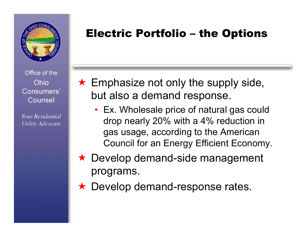

**Your Residential Utility Advocate** 

#### Electric Portfolio – the Options

- $\star$  Emphasize not only the supply side, but also a demand response.
	- Ex. Wholesale price of natural gas could drop nearly 20% with a 4% reduction in gas usage, according to the American Council for an Energy Efficient Economy.
- ★ Develop demand-side management programs.
- ★ Develop demand-response rates.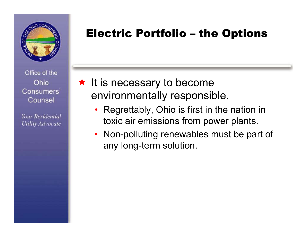

**Your Residential Utility Advocate** 

#### Electric Portfolio – the Options

- $\star$  It is necessary to become environmentally responsible.
	- Regrettably, Ohio is first in the nation in toxic air emissions from power plants.
	- Non-polluting renewables must be part of any long-term solution.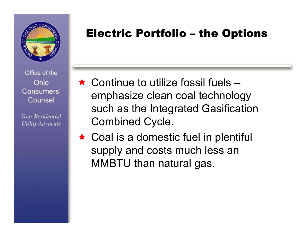

Your Residential **Utility Advocate** 

#### Electric Portfolio – the Options

- $\star$  Continue to utilize fossil fuels emphasize clean coal technology such as the Integrated Gasification Combined Cycle.
- $\star$  Coal is a domestic fuel in plentiful supply and costs much less an MMBTU than natural gas.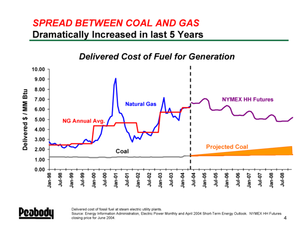#### **SPREAD BETWEEN COAL AND GAS** Dramatically Increased in last 5 Years





Delivered cost of fossil fuel at steam electric utility plants.

Source: Energy Information Administration, Electric Power Monthly and April 2004 Short-Term Energy Outlook. NYMEX HH Futures closing price for June 2004.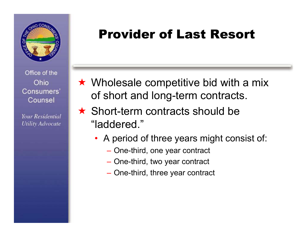

Your Residential **Utility Advocate** 

### Provider of Last Resort

- $\star$  Wholesale competitive bid with a mix of short and long-term contracts.
- $\star$  Short-term contracts should be "laddered."
	- A period of three years might consist of:
		- One-third, one year contract
		- One-third, two year contract
		- One-third, three year contract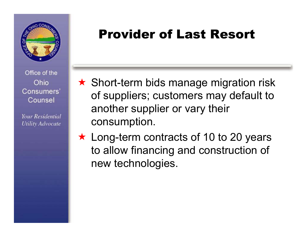

Your Residential **Utility Advocate** 

### Provider of Last Resort

- $\star$  Short-term bids manage migration risk of suppliers; customers may default to another supplier or vary their consumption.
- ★ Long-term contracts of 10 to 20 years to allow financing and construction of new technologies.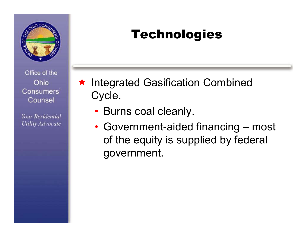

**Your Residential Utility Advocate** 

# Technologies

- ★ Integrated Gasification Combined Cycle.
	- Burns coal cleanly.
	- Government-aided financing most of the equity is supplied by federal government.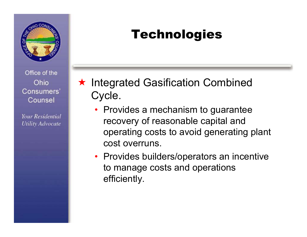

**Your Residential Utility Advocate** 

# Technologies

- ★ Integrated Gasification Combined Cycle.
	- Provides a mechanism to guarantee recovery of reasonable capital and operating costs to avoid generating plant cost overruns.
	- Provides builders/operators an incentive to manage costs and operations efficiently.